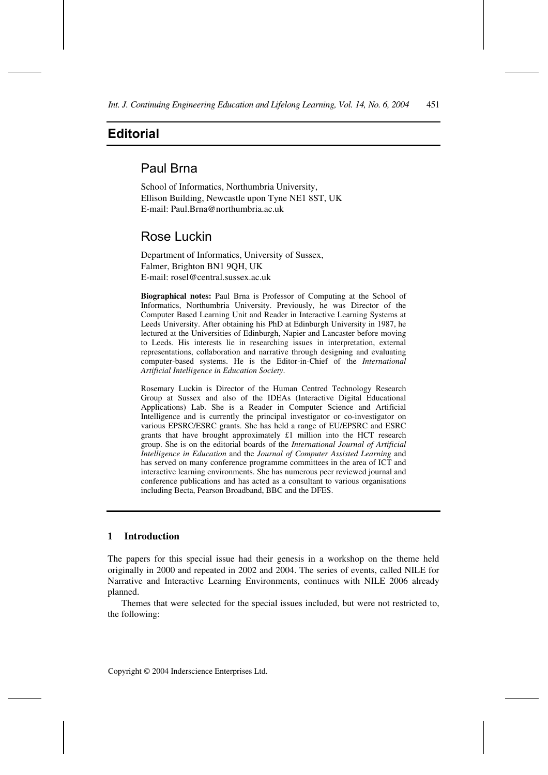# **Editorial**

## Paul Brna

School of Informatics, Northumbria University, Ellison Building, Newcastle upon Tyne NE1 8ST, UK E-mail: Paul.Brna@northumbria.ac.uk

# Rose Luckin

Department of Informatics, University of Sussex, Falmer, Brighton BN1 9QH, UK E-mail: rosel@central.sussex.ac.uk

**Biographical notes:** Paul Brna is Professor of Computing at the School of Informatics, Northumbria University. Previously, he was Director of the Computer Based Learning Unit and Reader in Interactive Learning Systems at Leeds University. After obtaining his PhD at Edinburgh University in 1987, he lectured at the Universities of Edinburgh, Napier and Lancaster before moving to Leeds. His interests lie in researching issues in interpretation, external representations, collaboration and narrative through designing and evaluating computer-based systems. He is the Editor-in-Chief of the *International Artificial Intelligence in Education Society*.

Rosemary Luckin is Director of the Human Centred Technology Research Group at Sussex and also of the IDEAs (Interactive Digital Educational Applications) Lab. She is a Reader in Computer Science and Artificial Intelligence and is currently the principal investigator or co-investigator on various EPSRC/ESRC grants. She has held a range of EU/EPSRC and ESRC grants that have brought approximately £1 million into the HCT research group. She is on the editorial boards of the *International Journal of Artificial Intelligence in Education* and the *Journal of Computer Assisted Learning* and has served on many conference programme committees in the area of ICT and interactive learning environments. She has numerous peer reviewed journal and conference publications and has acted as a consultant to various organisations including Becta, Pearson Broadband, BBC and the DFES.

## **1 Introduction**

The papers for this special issue had their genesis in a workshop on the theme held originally in 2000 and repeated in 2002 and 2004. The series of events, called NILE for Narrative and Interactive Learning Environments, continues with NILE 2006 already planned.

Themes that were selected for the special issues included, but were not restricted to, the following:

Copyright © 2004 Inderscience Enterprises Ltd.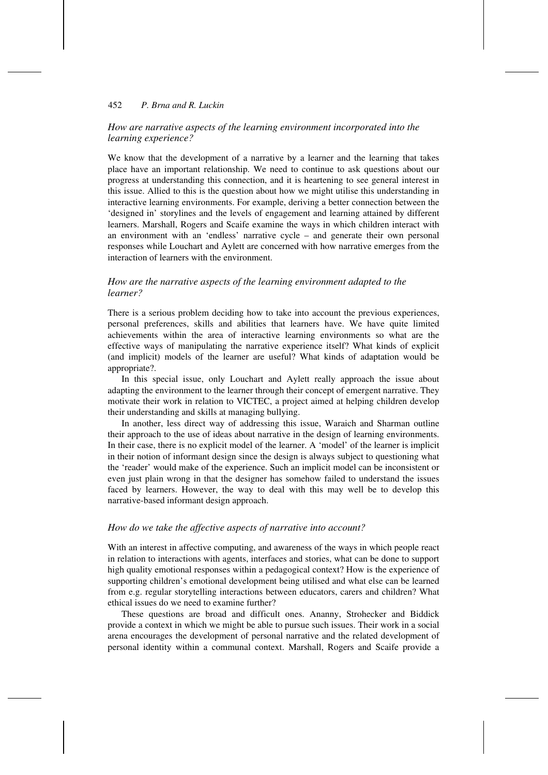#### 452 *P. Brna and R. Luckin*

### *How are narrative aspects of the learning environment incorporated into the learning experience?*

We know that the development of a narrative by a learner and the learning that takes place have an important relationship. We need to continue to ask questions about our progress at understanding this connection, and it is heartening to see general interest in this issue. Allied to this is the question about how we might utilise this understanding in interactive learning environments. For example, deriving a better connection between the 'designed in' storylines and the levels of engagement and learning attained by different learners. Marshall, Rogers and Scaife examine the ways in which children interact with an environment with an 'endless' narrative cycle – and generate their own personal responses while Louchart and Aylett are concerned with how narrative emerges from the interaction of learners with the environment.

### *How are the narrative aspects of the learning environment adapted to the learner?*

There is a serious problem deciding how to take into account the previous experiences, personal preferences, skills and abilities that learners have. We have quite limited achievements within the area of interactive learning environments so what are the effective ways of manipulating the narrative experience itself? What kinds of explicit (and implicit) models of the learner are useful? What kinds of adaptation would be appropriate?.

In this special issue, only Louchart and Aylett really approach the issue about adapting the environment to the learner through their concept of emergent narrative. They motivate their work in relation to VICTEC, a project aimed at helping children develop their understanding and skills at managing bullying.

In another, less direct way of addressing this issue, Waraich and Sharman outline their approach to the use of ideas about narrative in the design of learning environments. In their case, there is no explicit model of the learner. A 'model' of the learner is implicit in their notion of informant design since the design is always subject to questioning what the 'reader' would make of the experience. Such an implicit model can be inconsistent or even just plain wrong in that the designer has somehow failed to understand the issues faced by learners. However, the way to deal with this may well be to develop this narrative-based informant design approach.

#### *How do we take the affective aspects of narrative into account?*

With an interest in affective computing, and awareness of the ways in which people react in relation to interactions with agents, interfaces and stories, what can be done to support high quality emotional responses within a pedagogical context? How is the experience of supporting children's emotional development being utilised and what else can be learned from e.g. regular storytelling interactions between educators, carers and children? What ethical issues do we need to examine further?

These questions are broad and difficult ones. Ananny, Strohecker and Biddick provide a context in which we might be able to pursue such issues. Their work in a social arena encourages the development of personal narrative and the related development of personal identity within a communal context. Marshall, Rogers and Scaife provide a